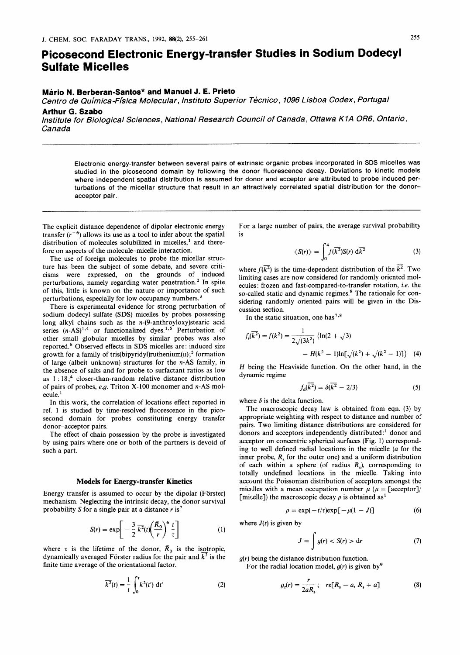# **Picosecond Electronic Energy-transfer Studies in Sodium Dodecyl Sulfate Micelles**

## **Mario N. Berberan-Santos" and Manuel J. E. Prieto**

*Centro de Quimica-Flsica Molecular, lnstituto Superior Tecnico, 1096 Lisboa Codex, Portugal*  **Arthur** *G.* **Szabo** 

*Institute for Biological Sciences, National Research Council of Canada, Ottawa KIA OR6, Ontario, Canada* 

Electronic energy-transfer between several pairs of extrinsic organic probes incorporated in SDS micelles was studied in the picosecond domain by following the donor fluorescence decay. Deviations to kinetic models where independent spatial distribution is assumed for donor and acceptor are attributed to probe induced perturbations of the micellar structure that result in an attractively correlated spatial distribution for the donoracceptor pair.

The explicit distance dependence of dipolar electronic energy transfer  $(r^{-6})$  allows its use as a tool to infer about the spatial distribution of molecules solubilized in micelles,<sup>1</sup> and therefore on aspects of the molecule-micelle interaction.

The use of foreign molecules to probe the micellar structure has been the subject **of** some debate, and severe criticisms were expressed, on the grounds of induced perturbations, namely regarding water penetration.<sup>2</sup> In spite of this, little is known on the nature or importance of such perturbations, especially for low occupancy numbers.<sup>3</sup>

There is experimental evidence for strong perturbation of sodium dodecyl sulfate (SDS) micelles by probes possessing long alkyl chains such as the n-(9-anthroyloxy)stearic acid series  $(n-AS)^{1,4}$  or functionalized dyes.<sup>1,5</sup> Perturbation of other small globular micelles by similar probes was also reported.6 Observed effects in **SDS** micelles are: induced size growth for a family of tris(bipyridyl)ruthenium(II);<sup>5</sup> formation of large (albeit unknown) structures for the **n-AS** family, in the absence of salts and for probe to surfactant ratios as low as  $1:18$ ;<sup>4</sup> closer-than-random relative distance distribution of pairs of probes, *e.g.* Triton X-100 monomer and **n-AS** molecule. **l** 

In this work, the correlation of locations effect reported in ref. 1 is studied by time-resolved fluorescence in the picosecond domain for probes constituting energy transfer donor-acceptor pairs.

The effect of chain possession by the probe is investigated by using pairs where one or both of the partners is devoid of such a part.

#### **Models for Energy-transfer Kinetics**

Energy transfer is assumed to occur by the dipolar (Förster) mechanism. Neglecting the intrinsic decay, the donor survival probability *S* for a single pair at a distance *r* is7

$$
S(r) = \exp\left[-\frac{3}{2}\overline{k^2}(t)\left(\frac{\overline{R}_0}{r}\right)^6\frac{t}{\tau}\right]
$$
 (1)

where  $\tau$  is the lifetime of the donor,  $\bar{R}_0$  is the isotropic, dynamically averaged Förster radius for the pair and  $\overline{k^2}$  is the finite time average of the orientational factor. radius for the pair and  $\overline{k^2}$  is the *g(r)* being the distance distribution function.<br>
radius factor. For the radial location model,  $g(r)$  is given by  $\int_0^r k^2(t') dt'$  (2)  $g_r(r) = \frac{r}{2aR_s}$ ;  $r \in [R_s - a, R_s + a]$ 

$$
\overline{k^2}(t) = \frac{1}{t} \int_0^t k^2(t') dt'
$$
 (2)

For a large number of pairs, the average survival probability is

$$
\langle S(r) \rangle = \int_0^4 f(\overline{k^2}) S(r) \, \mathrm{d}\overline{k^2} \tag{3}
$$

where  $f(k^2)$  is the time-dependent distribution of the  $\overline{k^2}$ . Two limiting cases are now considered for randomly oriented molecules : frozen and fast-compared-to-transfer rotation, **i.e.** the so-called static and dynamic regimes.<sup>8</sup> The rationale for considering randomly oriented pairs will be given in the Discussion section.

In the static situation, one has<sup>7,8</sup>

$$
f_s(\overline{k^2}) = f(k^2) = \frac{1}{2\sqrt{3k^2}} \left\{ \ln(2 + \sqrt{3}) - H(k^2 - 1)\ln[\sqrt{k^2 + \sqrt{k^2 - 1}}] \right\}
$$
 (4)

*H* being the Heaviside function. On the other hand, in the dynamic regime

$$
f_d(\overline{k^2}) = \delta(\overline{k^2} - 2/3) \tag{5}
$$

where  $\delta$  is the delta function.

The macroscopic decay law is obtained from eqn. (3) by appropriate weighting with respect to distance and number of pairs. Two limiting distance distributions are considered for donors and acceptors independently distributed:<sup>1</sup> donor and acceptor on concentric spherical surfaces (Fig. 1) corresponding to well defined radial locations in the micelle (a for the inner probe,  $R<sub>s</sub>$  for the outer one) and a uniform distribution of each within **a** sphere (of radius *RJ,* corresponding to totally undefined locations in the micelle. Taking into account the Poissonian distribution of acceptors amongst the micelles with a mean occupation number  $\mu$  ( $\mu =$  [acceptor]/ [micelle]) the macroscopic decay  $\rho$  is obtained as<sup>1</sup>

$$
\rho = \exp(-t/\tau) \exp[-\mu(1-J)]
$$
 (6)

where  $J(t)$  is given by

$$
J = \int g(r) < S(r) > \mathrm{d}r \tag{7}
$$

*g(r)* being the distance distribution function. For the radial location model,  $g(r)$  is given by<sup>9</sup>

$$
g_r(r) = \frac{r}{2aR_s}; \quad r\epsilon[R_s - a, R_s + a]
$$
 (8)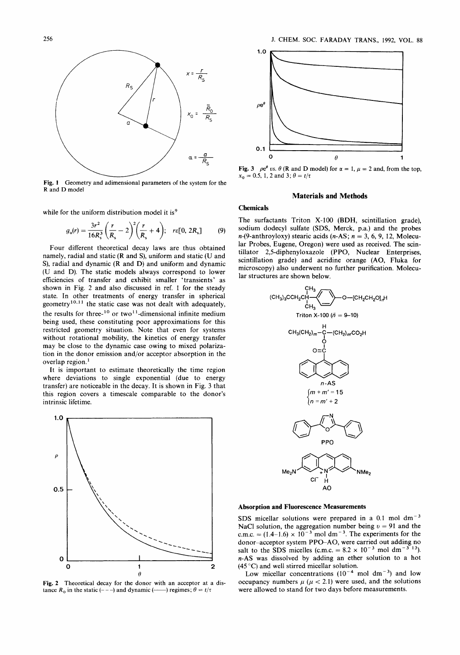

**Fig. 1**  Geometry and adimensional parameters of the system for the **R** and D model

while for the uniform distribution model it is<sup>9</sup>

$$
g_{\rm u}(r) = \frac{3r^2}{16R_s^3} \left(\frac{r}{R_s} - 2\right)^2 \left(\frac{r}{R_s} + 4\right); \quad r\epsilon[0, 2R_s] \tag{9}
$$

Four different theoretical decay laws are thus obtained namely, radial and static (R and **S),** uniform and static (U and **S),** radial and dynamic (R and D) and uniform and dynamic (U and D). The static models always correspond to lower efficiencies of transfer and exhibit smaller 'transients' as shown in Fig. 2 and also discussed in ref. 1 for the steady state. In other treatments of energy transfer in spherical geometry<sup>10,11</sup> the static case was not dealt with adequately, the results for three- $10$  or two<sup>11</sup>-dimensional infinite medium being used, these constituting poor approximations for this restricted geometry situation. Note that even for systems without rotational mobility, the kinetics of energy transfer may be close to the dynamic case owing to mixed polarization in the donor emission and/or acceptor absorption in the overlap region.'

It is important to estimate theoretically the time region where deviations to single exponential (due to energy transfer) are noticeable in the decay. It is shown in Fig. 3 that this region covers a timescale comparable to the donor's intrinsic lifetime.



**Fig. 2** Theoretical decay for the donor with an acceptor at a distance  $R_0$  in the static (---) and dynamic (---) regimes;  $\theta = t/\tau$ 



**Fig. 3**  $\rho e^{\theta}$  *vs.*  $\theta$  (R and D model) for  $\alpha = 1$ ,  $\mu = 2$  and, from the top,  $x_0 = 0.5, 1, 2$  and 3;  $\theta = t/\tau$ 

## **Materials and Methods**

## **Chemicals**

The surfactants Triton **X-100 (BDH,** scintillation grade), sodium dodecyl sulfate **(SDS,** Merck, p.a.) and the probes n-(9-anthroyloxy) stearic acids (n-AS; *n* = **3,** *6,* 9, 12, Molecular Probes, Eugene, Oregon) were used as received. The scintillator 2,5-diphenyloxazole (PPO, Nuclear Enterprises, scintillation grade) and acridine orange (AO, Fluka for microscopy) also underwent no further purification. Molecular structures are shown below.



## **Absorption and Fluorescence Measurements**

SDS micellar solutions were prepared in a  $0.1$  mol dm<sup>-3</sup> NaCl solution, the aggregation number being  $v = 91$  and the c.m.c.  $= (1.4-1.6) \times 10^{-3}$  mol dm<sup>-3</sup>. The experiments for the donor-acceptor system PPO-AO, were carried out adding no salt to the SDS micelles (c.m.c. =  $8.2 \times 10^{-3}$  mol dm<sup>-3</sup> <sup>13</sup>). *n-AS* was dissolved by adding an ether solution to a hot **(45** "C) and well stirred micellar solution.

Low micellar concentrations  $(10^{-4} \text{ mol dm}^{-3})$  and low occupancy numbers  $\mu$  ( $\mu$  < 2.1) were used, and the solutions were allowed to stand for two days before measurements.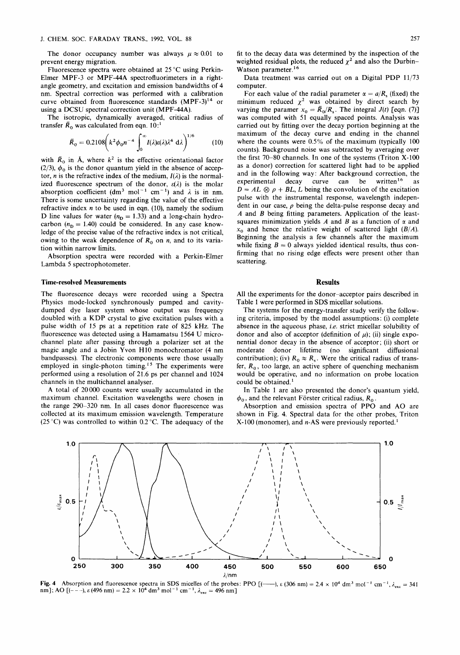The donor occupancy number was always  $\mu \approx 0.01$  to prevent energy migration.

Fluorescence spectra were obtained at 25 *"C* using Perkin-Elmer MPF-3 or MPF-44A spectrofluorimeters in a rightangle geometry, and excitation and emission bandwidths of 4 nm. Spectral correction was performed with a calibration curve obtained from fluorescence standards  $(MPF-3)^{14}$  or using a DCSU spectral correction unit (MPF-44A).

The isotropic, dynamically averaged, critical radius of transfer  $\bar{R}_0$  was calculated from eqn. 10:<sup>1</sup>

$$
\bar{R}_0 = 0.2108 \left( k^2 \phi_0 n^{-4} \int_0^\infty I(\lambda) \varepsilon(\lambda) \lambda^4 \ d\lambda \right)^{1/6} \tag{10}
$$

with  $\bar{R}_0$  in Å, where  $k^2$  is the effective orientational factor (2/3),  $\phi_0$  is the donor quantum yield in the absence of acceptor, *n* is the refractive index of the medium,  $I(\lambda)$  is the normalized fluorescence spectrum of the donor,  $\varepsilon(\lambda)$  is the molar absorption coefficient (dm<sup>3</sup> mol<sup>-1</sup> cm<sup>-1</sup>) and  $\lambda$  is in nm. There is some uncertainty regarding the value of the effective refractive index  $n$  to be used in eqn. (10), namely the sodium D line values for water  $(n_D = 1.33)$  and a long-chain hydrocarbon  $(n_D = 1.40)$  could be considered. In any case knowledge of the precise value of the refractive index is not critical, owing to the weak dependence of  $R_0$  on *n*, and to its variation within narrow limits.

Absorption spectra were recorded with a Perkin-Elmer Lambda 5 spectrophotometer.

## **Time-resolved Measurements**

The fluorescence decays were recorded using a Spectra Physics mode-locked synchronously pumped and cavitydumped dye laser system whose output was frequency doubled with a KDP crystal to give excitation pulses with a pulse width of 15 ps at a repetition rate of 825 kHz. The fluorescence was detected using a Hamamatsu 1564 **U** microchannel plate after passing through a polarizer set at the magic angle and a Jobin Yvon H10 monochromator (4 nm bandpasses). The electronic components were those usually employed in single-photon timing.<sup>15</sup> The experiments were performed using a resolution of 21.6 ps per channel and 1024 channels in the multichannel analyser.

A total of 20000 counts were usually accumulated in the maximum channel. Excitation wavelengths were chosen in the range 290-320 nm. In all cases donor fluorescence was collected at its maximum emission wavelength. Temperature (25 **"C)** was controlled to within 0.2 *"C.* The adequacy of the fit to the decay data was determined by the inspection of the weighted residual plots, the reduced  $\chi^2$  and also the Durbin-Watson parameter.<sup>16</sup>

Data treatment was carried out on a Digital PDP 11/73 computer.

For each value of the radial parameter  $\alpha = a/R_s$  (fixed) the minimum reduced  $\chi^2$  was obtained by direct search by varying the paramer  $x_0 = \bar{R}_0/R_s$ . The integral  $J(t)$  [eqn. (7)] was computed with 51 equally spaced points. Analysis was carried out by fitting over the decay portion beginning at the maximum of the decay curve and ending in the channel where the counts were 0.5% of the maximum (typically 100 counts). Background noise was subtracted by averaging over the first 70-80 channels. In one of the systems (Triton **X-100**  as a donor) correction for scattered light had to be applied and in the following way: After background correction, the experimental decay curve can be written<sup>16</sup> as  $D = AL \otimes \rho + BL$ , *L* being the convolution of the excitation pulse with the instrumental response, wavelength independent in our case,  $\rho$  being the delta-pulse response decay and *A* and *B* being fitting parameters. Application of the leastsquares minimization yields  $A$  and  $B$  as a function of  $\alpha$  and **x,** and hence the relative weight of scattered light *(B/A).*  Beginning the analysis a few channels after the maximum while fixing  $B = 0$  always yielded identical results, thus confirming that no rising edge effects were present other than scattering.

#### **Results**

All the experiments for the donor-acceptor pairs described in Table 1 were performed in SDS micellar solutions.

The systems for the energy-transfer study verify the following criteria, imposed by the model assumptions: (i) complete absence in the aqueous phase, i.e. strict micellar solubility of donor and also of acceptor (definition of  $\mu$ ); (ii) single exponential donor decay in the absence of acceptor; (ii) short or moderate donor lifetime (no significant diffusional contribution); (iv)  $R_0 \approx R_s$ . Were the critical radius of transfer,  $R_0$ , too large, an active sphere of quenching mechanism would be operative, and no information on probe location could be obtained.'

In Table 1 are also presented the donor's quantum yield,  $\phi_0$ , and the relevant Förster critical radius,  $R_0$ .

Absorption and emission spectra of PPO and AO are shown in Fig. 4. Spectral data for the other probes, Triton **X-** 100 (monomer), and n-AS were previously reported.'



**Fig. 4** Absorption and fluorescence spectra in SDS micelles of the probes: PPO  $[(-\ )$ ,  $\epsilon$  (306 nm) = 2.4  $\times$  10<sup>4</sup> dm<sup>3</sup> mol<sup>-1</sup> cm<sup>-1</sup>,  $\lambda_{\text{exc}}$  = 341 nm]; AO  $[(- -), \varepsilon(496 \text{ nm}) = 2.2 \times 10^4 \text{ dm}^3 \text{ mol}^{-1} \text{ cm}^{-1}, \lambda_{\text{exc}} = 496 \text{ nm}]$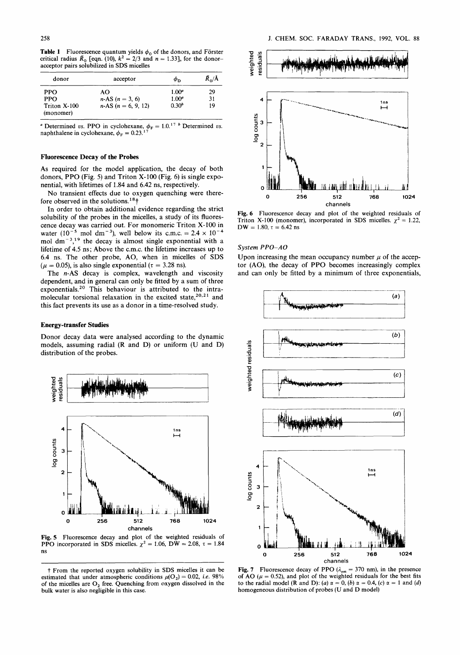**Table 1** Fluorescence quantum yields  $\phi_0$  of the donors, and Förster critical radius  $\bar{R}_0$  [eqn. (10),  $k^2 = 2/3$  and  $n = 1.33$ ], for the donoracceptor pairs solubilized in SDS micelles

| donor                     | acceptor                  | Φn                | $\bar{R}_{0}/\tilde{A}$ |
|---------------------------|---------------------------|-------------------|-------------------------|
| <b>PPO</b>                | AΟ                        | $1.00^{a}$        | 29                      |
| <b>PPO</b>                | $n-AS$ ( $n = 3, 6$ )     | $1.00^a$          | 31                      |
| Triton X-100<br>(monomer) | $n-AS$ ( $n = 6, 9, 12$ ) | 0.30 <sup>b</sup> | 19                      |

<sup>*a*</sup> Determined *vs.* PPO in cyclohexane,  $\phi_F = 1.0$ .<sup>17</sup> <sup>*b*</sup> Determined *vs.* naphthalene in cyclohexane,  $\phi_F = 0.23.^{17}$ 

#### **Fluorescence Decay of the Probes**

As required for the model application, the decay of both donors, PPO (Fig. 5) and Triton X-100 (Fig. 6) is single exponential, with lifetimes of 1.84 and 6.42 ns, respectively.

No transient effects due to oxygen quenching were therefore observed in the solutions.<sup>18</sup><sup>†</sup>

In order to obtain additional evidence regarding the strict solubility of the probes in the micelles, a study of its fluorescence decay was carried out. For monomeric Triton X-100 in water (10<sup>-5</sup> mol dm<sup>-3</sup>), well below its c.m.c. =  $2.4 \times 10^{-4}$ mol  $dm^{-3}$ ,<sup>19</sup> the decay is almost single exponential with a lifetime of **4.5** ns; Above the c.m.c. the lifetime increases up to 6.4 ns. The other probe, AO, when in micelles of **SDS**   $(\mu = 0.05)$ , is also single exponential ( $\tau = 3.28$  ns).

The n-AS decay is complex, wavelength and viscosity dependent, and in general can only be fitted by a sum of three exponentials.20 This behaviour is attributed to the intramolecular torsional relaxation in the excited state,  $20.21$  and this fact prevents its use as a donor in a time-resolved study.

#### **Energy-transfer Studies**

Donor decay data were analysed according to the dynamic models, assuming radial (R and D) or uniform **(U** and D) distribution of the probes.



Fig. **5** Fluorescence decay and plot of the weighted residuals of PPO incorporated in SDS micelles.  $\chi^2 = 1.06$ , DW = 2.08,  $\tau = 1.84$ ns



Fig. *6* Fluorescence decay and plot of the weighted residuals of Triton X-100 (monomer), incorporated in SDS micelles.  $\chi^2 = 1.22$ ,  $DW = 1.80, \tau = 6.42$  ns

## *System PPO-A0*

Upon increasing the mean occupancy number  $\mu$  of the acceptor (AO), the decay of **PPO** becomes increasingly complex and can only be fitted by a minimum of three exponentials,



**Fig. 7** • Fluorescence decay of PPO  $(\lambda_{em} = 370 \text{ nm})$ , in the presence of AO  $(\mu = 0.52)$ , and plot of the weighted residuals for the best fits to the radial model (R and D): (a)  $\alpha = 0$ , (b)  $\alpha = 0.4$ , (c)  $\alpha = 1$  and (d) homogeneous distribution of probes (U and D model)

From the reported oxygen solubility in SDS micelles it can be estimated that under atmospheric conditions  $\mu(O_2) = 0.02$ , *i.e.* 98% of the micelles are  $O_2$  free. Quenching from oxygen dissolved in the bulk water is also negligible in this case.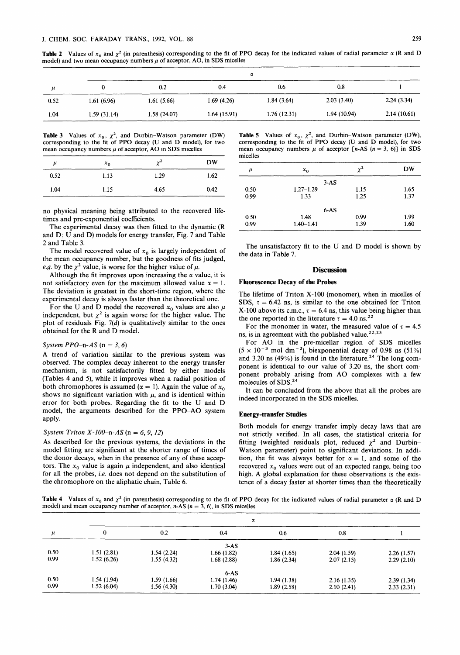**Table 2** Values of  $x_0$  and  $\chi^2$  (in parenthesis) corresponding to the fit of PPO decay for the indicated values of radial parameter  $\alpha$  (R and D model) and two mean occupancy numbers  $\mu$  of acceptor, AO, in SDS micelles

|      | α            |             |             |             |             |             |
|------|--------------|-------------|-------------|-------------|-------------|-------------|
| и    |              | 0.2         | 0.4         | 0.6         | 0.8         |             |
| 0.52 | 1.61(6.96)   | 1.61(5.66)  | 1.69(4.26)  | 1.84(3.64)  | 2.03(3.40)  | 2.24(3.34)  |
| 1.04 | 1.59 (31.14) | 1.58(24.07) | 1.64(15.91) | 1.76(12.31) | 1.94(10.94) | 2.14(10.61) |

**Table 3** Values of  $x_0$ ,  $\chi^2$ , and Durbin-Watson parameter (DW) corresponding to the fit of PPO decay **(U** and D model), for two mean occupancy numbers  $\mu$  of acceptor, AO in SDS micelles

| $\mu$ | $x_0$ | $\chi^2$ | <b>DW</b> |
|-------|-------|----------|-----------|
| 0.52  | 1.13  | 1.29     | 1.62      |
| 1.04  | 1.15  | 4.65     | 0.42      |

no physical meaning being attributed to the recovered lifetimes and pre-exponential coeficients.

The experimental decay was then fitted to the dynamic (R and D; U and D) models for energy transfer, Fig. **7** and Table 2 and Table 3.

The model recovered value of  $x_0$  is largely independent of the mean occupancy number, but the goodness of fits judged, *e.g.* by the  $\chi^2$  value, is worse for the higher value of  $\mu$ .

Although the fit improves upon increasing the  $\alpha$  value, it is not satisfactory even for the maximum allowed value  $\alpha = 1$ . The deviation is greatest in the short-time region, where the experimental decay is always faster than the theoretical one.

For the U and D model the recovered  $x_0$  values are also  $\mu$ independent, but  $\chi^2$  is again worse for the higher value. The plot of residuals Fig. *7(d)* is qualitatively similar to the ones obtained for the R and D model.

## *System PPO-n-AS*  $(n = 3, 6)$

A trend of variation similar to the previous system was observed. The complex decay inherent to the energy transfer mechanism, is not satisfactorily fitted by either models (Tables **4** and *5),* while it improves when a radial position of both chromophores is assumed  $(\alpha = 1)$ . Again the value of  $x_0$ shows no significant variation with  $\mu$ , and is identical within error for both probes. Regarding the fit to the U and D model, the arguments described for the PPO-A0 system apply-

## *System Triton* X-100-n-AS (n = *6, 9, 12)*

As described for the previous systems, the deviations in the model fitting are significant at the shorter range of times of the donor decays, when in the presence of any of these acceptors. The  $x_0$  value is again  $\mu$  independent, and also identical for all the probes, *i.e.* does not depend on the substitution of the chromophore on the aliphatic chain, Table **6.** 

**Table 5** Values of  $x_0$ ,  $\chi^2$ , and Durbin-Watson parameter (DW), corresponding to the fit of PPO decay (U and D model), for two mean occupancy numbers  $\mu$  of acceptor  $[n-AS (n = 3, 6)]$  in SDS micelles

| $\mu$ | $x_0$         | $\chi^2$ | <b>DW</b> |
|-------|---------------|----------|-----------|
|       | $3-AS$        |          |           |
| 0.50  | $1.27 - 1.29$ | 1.15     | 1.65      |
| 0.99  | 1.33          | 1.25     | 1.37      |
|       | $6-AS$        |          |           |
| 0.50  | 1.48          | 0.99     | 1.99      |
| 0.99  | $1.40 - 1.41$ | 1.39     | 1.60      |

The unsatisfactory fit to the U and D model is shown by the data in Table **7.** 

#### **Discussion**

#### **Fluorescence Decay of the Probes**

The lifetime of Triton **X-100** (monomer), when in micelles of SDS,  $\tau = 6.42$  ns, is similar to the one obtained for Triton **X-100 above its c.m.c.,**  $\tau = 6.4$  **ns, this value being higher than** the one reported in the literature  $\tau = 4.0$  ns.<sup>22</sup>

For the monomer in water, the measured value of  $\tau = 4.5$ ns, is in agreement with the published value.<sup>22,23</sup>

For **A0** in the pre-micellar region of SDS micelles  $(5 \times 10^{-3} \text{ mol dm}^{-3})$ , biexponential decay of 0.98 ns (51%) and 3.20 ns  $(49%)$  is found in the literature.<sup>24</sup> The long component is identical to our value of 3.20 ns, the short component probably arising from A0 complexes with a few molecules of **SDS.24** 

It can be concluded from the above that all the probes are indeed incorporated in the **SDS** micelles.

#### **Energy-transfer Studies**

Both models for energy transfer imply decay laws that are not strictly verified. In all cases, the statistical criteria for fitting (weighted residuals plot, reduced  $\chi^2$  and Durbin-Watson parameter) point to significant deviations. In addition, the fit was always better for  $\alpha = 1$ , and some of the recovered  $x_0$  values were out of an expected range, being too high. A global explanation for these observations is the existence of a decay faster at shorter times than the theoretically

**Table 4** Values of  $x_0$  and  $\chi^2$  (in parenthesis) corresponding to the fit of PPO decay for the indicated values of radial parameter  $\alpha$  (R and D model) and mean occupancy number of acceptor,  $n-AS$  ( $n = 3, 6$ ), in SDS micelles

|       |            | α          |            |            |            |            |
|-------|------------|------------|------------|------------|------------|------------|
| $\mu$ | 0          | 0.2        | 0.4        | 0.6        | 0.8        |            |
|       |            |            | $3-AS$     |            |            |            |
| 0.50  | 1.51(2.81) | 1.54(2.24) | 1.66(1.82) | 1.84(1.65) | 2.04(1.59) | 2.26(1.57) |
| 0.99  | 1.52(6.26) | 1.55(4.32) | 1.68(2.88) | 1.86(2.34) | 2.07(2.15) | 2.29(2.10) |
|       |            |            | $6-AS$     |            |            |            |
| 0.50  | 1.54(1.94) | 1.59(1.66) | 1.74(1.46) | 1.94(1.38) | 2.16(1.35) | 2.39(1.34) |
| 0.99  | 1.52(6.04) | 1.56(4.30) | 1.70(3.04) | 1.89(2.58) | 2.10(2.41) | 2.33(2.31) |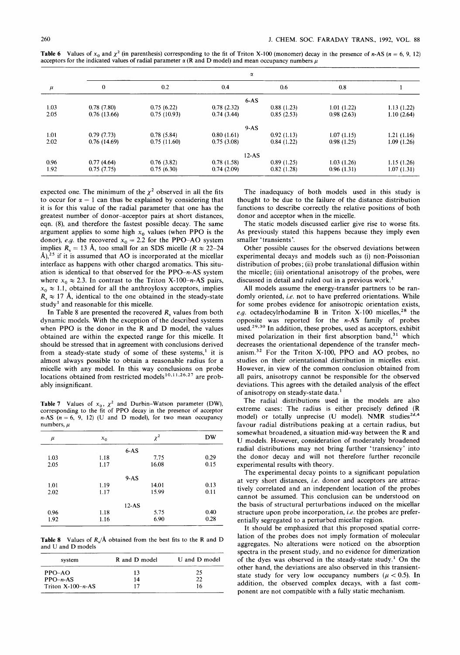|       | $\alpha$     |             |            |            |            |             |
|-------|--------------|-------------|------------|------------|------------|-------------|
| $\mu$ | $\mathbf{0}$ | 0.2         | 0.4        | 0.6        | 0.8        |             |
|       |              |             | $6-AS$     |            |            |             |
| 1.03  | 0.78(7.80)   | 0.75(6.22)  | 0.78(2.32) | 0.88(1.23) | 1.01(1.22) | 1.13(1.22)  |
| 2.05  | 0.76(13.66)  | 0.75(10.93) | 0.74(3.44) | 0.85(2.53) | 0.98(2.63) | 1.10(2.64)  |
|       |              |             | $9-AS$     |            |            |             |
| 1.01  | 0.79(7.73)   | 0.78(5.84)  | 0.80(1.61) | 0.92(1.13) | 1.07(1.15) | 1.21(1.16)  |
| 2.02  | 0.76(14.69)  | 0.75(11.60) | 0.75(3.08) | 0.84(1.22) | 0.98(1.25) | 1.09(1.26)  |
|       |              |             | $12-AS$    |            |            |             |
| 0.96  | 0.77(4.64)   | 0.76(3.82)  | 0.78(1.58) | 0.89(1.25) | 1.03(1.26) | 1.15(1.26)  |
| 1.92  | 0.75(7.75)   | 0.75(6.30)  | 0.74(2.09) | 0.82(1.28) | 0.96(1.31) | 1.07 (1.31) |

**Table 6** Values of  $x_0$  and  $\chi^2$  (in parenthesis) corresponding to the fit of Triton X-100 (monomer) decay in the presence of n-AS (n = 6, 9, 12) acceptors for the indicated values of radial parameter  $\alpha$  (R and D model) and mean occupancy numbers  $\mu$ 

expected one. The minimum of the  $\chi^2$  observed in all the fits to occur for  $\alpha = 1$  can thus be explained by considering that it is for this value of the radial parameter that one has the greatest number of donor-acceptor pairs at short distances, eqn. (S), and therefore the fastest possible decay. The same argument applies to some high  $x_0$  values (when PPO is the donor), *e.g.* the recovered  $x_0 = 2.2$  for the PPO-AO system implies  $R_s = 13 \text{ Å}$ , too small for an SDS micelle  $(R \approx 22-24)$  $\hat{A}$ ),<sup>25</sup> if it is assumed that AO is incorporated at the micellar interface as happens with other charged aromatics. This situation is identical to that observed for the  $PPO-n-AS$  system where  $x_0 \approx 2.3$ . In contrast to the Triton X-100-n-AS pairs,  $x_0 \approx 1.1$ , obtained for all the anthroyloxy acceptors, implies  $R_s \approx 17$  Å, identical to the one obtained in the steady-state study' and reasonable for this micelle.

In Table 8 are presented the recovered *R,* values from both dynamic models. With the exception of the described systems when PPO is the donor in the R and D model, the values obtained are within the expected range for this micelle. It should be stressed that in agreement with conclusions derived from a steady-state study of some of these systems,' it is almost always possible to obtain a reasonable radius for a micelle with any model. In this way conclusions on probe locations obtained from restricted models<sup>10,11,26,27</sup> are probably insignificant.

**Table 7** Values of  $x_0$ ,  $\chi^2$  and Durbin-Watson parameter (DW), corresponding to the fit of PPO decay in the presence of acceptor  $n-AS$   $(n = 6, 9, 12)$  (U and D model), for two mean occupancy numbers,  $\mu$ 

| $\mu$ | $x_0$ | $\chi^2$ | <b>DW</b> |
|-------|-------|----------|-----------|
|       |       | $6-AS$   |           |
| 1.03  | 1.18  | 7.75     | 0.29      |
| 2.05  | 1.17  | 16.08    | 0.15      |
|       |       | $9-AS$   |           |
| 1.01  | 1.19  | 14.01    | 0.13      |
| 2.02  | 1.17  | 15.99    | 0.11      |
|       |       | $12-AS$  |           |
| 0.96  | 1.18  | 5.75     | 0.40      |
| 1.92  | 1.16  | 6.90     | 0.28      |

**Table 8** Values of  $R_s/\text{\AA}$  obtained from the best fits to the R and D and **U** and D models

| system              | R and D model | U and D model |
|---------------------|---------------|---------------|
| $PPO-AO$            | 13            | 25            |
| $PPO-n-AS$          | 14            | 22            |
| Triton $X-100-n-AS$ |               | 16            |

The inadequacy of both models used in this study is thought to be due to the failure of the distance distribution functions to describe correctly the relative positions of both donor and acceptor when in the micelle.

The static models discussed earlier give rise to worse fits. **As** previously stated this happens because they imply even smaller 'transients'.

Other possible causes for the observed deviations between experimental decays and models such as (i) non-Poissonian distribution of probes; (ii) probe translational diffusion within the micelle; (iii) orientational anisotropy of the probes, were discussed in detail and ruled out in a previous work.'

All models assume the energy-transfer partners to be randomly oriented, *ie.* not to have preferred orientations. While for some probes evidence for anisotropic orientation exists, e.g. octadecylrhodamine **B** in Triton X-100 micelles,<sup>28</sup> the opposite was reported for the n-AS family of probes used.<sup>29,30</sup> In addition, these probes, used as acceptors, exhibit mixed polarization in their first absorption band, $31$  which decreases the orientational dependence of the transfer mechanism.<sup>32</sup> For the Triton X-100, PPO and AO probes, no studies on their orientational distribution in micelles exist. However, in view of the common conclusion obtained from all pairs, anisotropy cannot be responsible for the observed deviations. This agrees with the detailed analysis of the effect of anisotropy on steady-state data.'

The radial distributions used in the models are also extreme cases: The radius is either precisely defined (R model) or totally unprecise (U model). NMR studies<sup>2d,4</sup> favour radial distributions peaking at a certain radius, but somewhat broadened, a situation mid-way between the R and **U** models. However, consideration of moderately broadened radial distributions may not bring further 'transiency' into the donor decay and will not therefore further reconcile experimental results with theory.

The experimental decay points to a significant population at very short distances, **i.e.** donor and acceptors are attractively correlated and an independent location of the probes cannot be assumed. This conclusion can be understood on the basis of structural perturbations induced on the micellar structure upon probe incorporation, *i.e.* the probes are preferentially segregated to a perturbed micellar region.

It should be emphasized that this proposed spatial correlation of the probes does not imply formation of molecular aggregates. No alterations were noticed on the absorption spectra in the present study, and no evidence for dimerization of the dyes was observed in the steady-state study.' On the other hand, the deviations are also observed in this transientstate study for very low occupancy numbers  $(\mu < 0.5)$ . In addition, the observed complex decays, with a fast component are not compatible with a fully static mechanism.